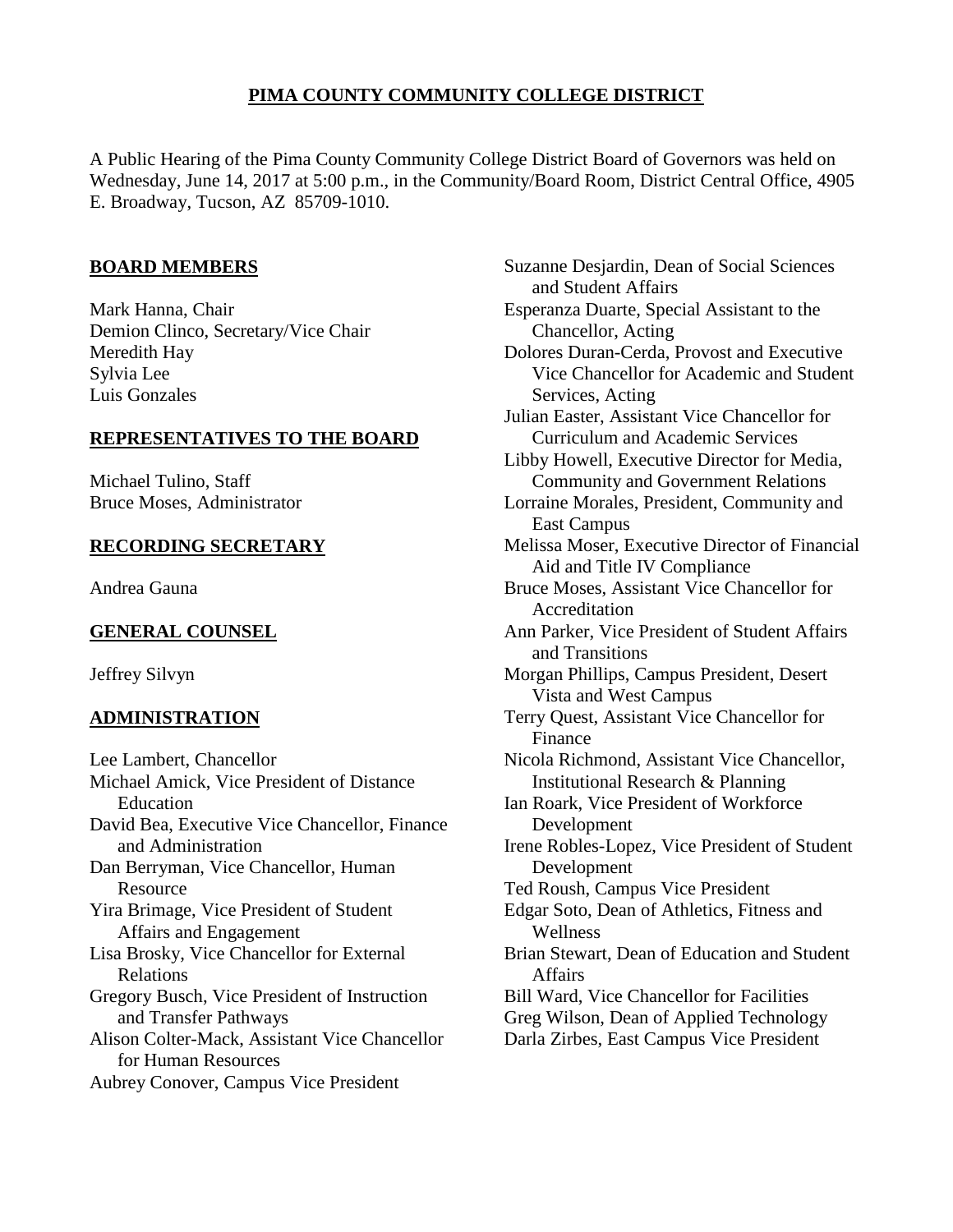# **PIMA COUNTY COMMUNITY COLLEGE DISTRICT**

A Public Hearing of the Pima County Community College District Board of Governors was held on Wednesday, June 14, 2017 at 5:00 p.m., in the Community/Board Room, District Central Office, 4905 E. Broadway, Tucson, AZ 85709-1010.

## **BOARD MEMBERS**

Mark Hanna, Chair Demion Clinco, Secretary/Vice Chair Meredith Hay Sylvia Lee Luis Gonzales

## **REPRESENTATIVES TO THE BOARD**

Michael Tulino, Staff Bruce Moses, Administrator

## **RECORDING SECRETARY**

Andrea Gauna

# **GENERAL COUNSEL**

Jeffrey Silvyn

# **ADMINISTRATION**

Lee Lambert, Chancellor Michael Amick, Vice President of Distance Education David Bea, Executive Vice Chancellor, Finance and Administration Dan Berryman, Vice Chancellor, Human Resource Yira Brimage, Vice President of Student Affairs and Engagement Lisa Brosky, Vice Chancellor for External Relations Gregory Busch, Vice President of Instruction and Transfer Pathways Alison Colter-Mack, Assistant Vice Chancellor for Human Resources Aubrey Conover, Campus Vice President

Suzanne Desjardin, Dean of Social Sciences and Student Affairs Esperanza Duarte, Special Assistant to the Chancellor, Acting Dolores Duran-Cerda, Provost and Executive Vice Chancellor for Academic and Student Services, Acting Julian Easter, Assistant Vice Chancellor for Curriculum and Academic Services Libby Howell, Executive Director for Media, Community and Government Relations Lorraine Morales, President, Community and East Campus Melissa Moser, Executive Director of Financial Aid and Title IV Compliance Bruce Moses, Assistant Vice Chancellor for Accreditation Ann Parker, Vice President of Student Affairs and Transitions Morgan Phillips, Campus President, Desert Vista and West Campus Terry Quest, Assistant Vice Chancellor for Finance Nicola Richmond, Assistant Vice Chancellor, Institutional Research & Planning Ian Roark, Vice President of Workforce Development Irene Robles-Lopez, Vice President of Student Development Ted Roush, Campus Vice President Edgar Soto, Dean of Athletics, Fitness and Wellness Brian Stewart, Dean of Education and Student Affairs Bill Ward, Vice Chancellor for Facilities Greg Wilson, Dean of Applied Technology Darla Zirbes, East Campus Vice President